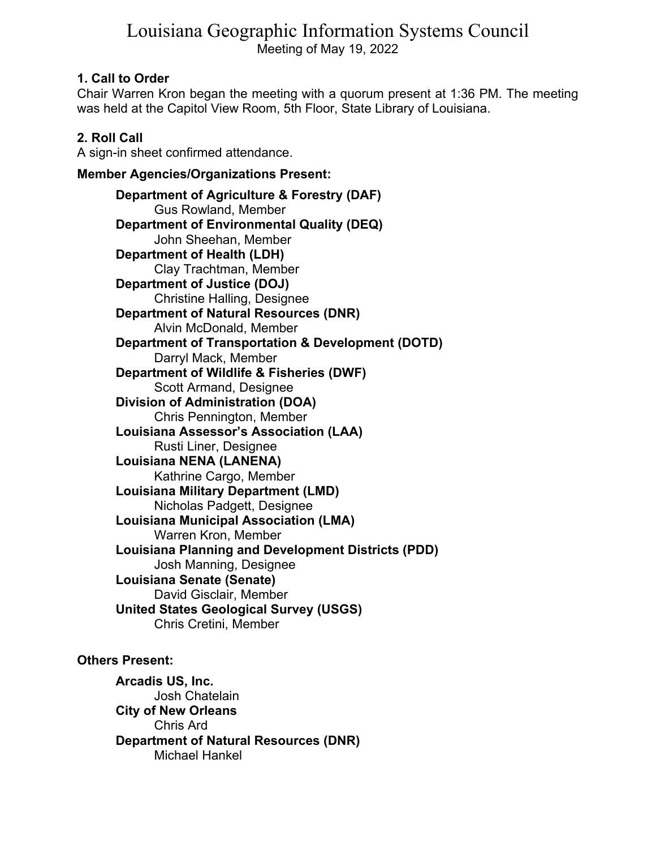# Louisiana Geographic Information Systems Council Meeting of May 19, 2022

## **1. Call to Order**

Chair Warren Kron began the meeting with a quorum present at 1:36 PM. The meeting was held at the Capitol View Room, 5th Floor, State Library of Louisiana.

## **2. Roll Call**

A sign-in sheet confirmed attendance.

**Member Agencies/Organizations Present:** 

**Department of Agriculture & Forestry (DAF)**  Gus Rowland, Member **Department of Environmental Quality (DEQ)**  John Sheehan, Member **Department of Health (LDH)**  Clay Trachtman, Member **Department of Justice (DOJ)**  Christine Halling, Designee **Department of Natural Resources (DNR)**  Alvin McDonald, Member **Department of Transportation & Development (DOTD)**  Darryl Mack, Member **Department of Wildlife & Fisheries (DWF)**  Scott Armand, Designee **Division of Administration (DOA)**  Chris Pennington, Member **Louisiana Assessor's Association (LAA)**  Rusti Liner, Designee **Louisiana NENA (LANENA)**  Kathrine Cargo, Member **Louisiana Military Department (LMD)**  Nicholas Padgett, Designee **Louisiana Municipal Association (LMA)**  Warren Kron, Member **Louisiana Planning and Development Districts (PDD)**  Josh Manning, Designee **Louisiana Senate (Senate)**  David Gisclair, Member **United States Geological Survey (USGS)**  Chris Cretini, Member

## **Others Present:**

**Arcadis US, Inc.**  Josh Chatelain **City of New Orleans**  Chris Ard **Department of Natural Resources (DNR)**  Michael Hankel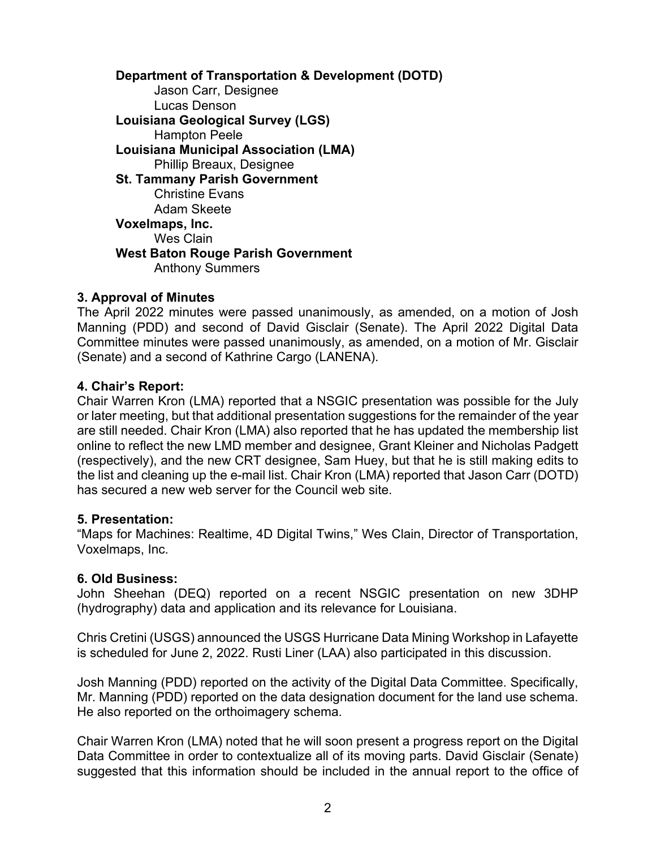**Department of Transportation & Development (DOTD)**  Jason Carr, Designee Lucas Denson **Louisiana Geological Survey (LGS)**  Hampton Peele **Louisiana Municipal Association (LMA)**  Phillip Breaux, Designee **St. Tammany Parish Government**  Christine Evans Adam Skeete **Voxelmaps, Inc.**  Wes Clain **West Baton Rouge Parish Government**  Anthony Summers

## **3. Approval of Minutes**

The April 2022 minutes were passed unanimously, as amended, on a motion of Josh Manning (PDD) and second of David Gisclair (Senate). The April 2022 Digital Data Committee minutes were passed unanimously, as amended, on a motion of Mr. Gisclair (Senate) and a second of Kathrine Cargo (LANENA).

### **4. Chair's Report:**

Chair Warren Kron (LMA) reported that a NSGIC presentation was possible for the July or later meeting, but that additional presentation suggestions for the remainder of the year are still needed. Chair Kron (LMA) also reported that he has updated the membership list online to reflect the new LMD member and designee, Grant Kleiner and Nicholas Padgett (respectively), and the new CRT designee, Sam Huey, but that he is still making edits to the list and cleaning up the e-mail list. Chair Kron (LMA) reported that Jason Carr (DOTD) has secured a new web server for the Council web site.

### **5. Presentation:**

"Maps for Machines: Realtime, 4D Digital Twins," Wes Clain, Director of Transportation, Voxelmaps, Inc.

### **6. Old Business:**

John Sheehan (DEQ) reported on a recent NSGIC presentation on new 3DHP (hydrography) data and application and its relevance for Louisiana.

Chris Cretini (USGS) announced the USGS Hurricane Data Mining Workshop in Lafayette is scheduled for June 2, 2022. Rusti Liner (LAA) also participated in this discussion.

Josh Manning (PDD) reported on the activity of the Digital Data Committee. Specifically, Mr. Manning (PDD) reported on the data designation document for the land use schema. He also reported on the orthoimagery schema.

Chair Warren Kron (LMA) noted that he will soon present a progress report on the Digital Data Committee in order to contextualize all of its moving parts. David Gisclair (Senate) suggested that this information should be included in the annual report to the office of